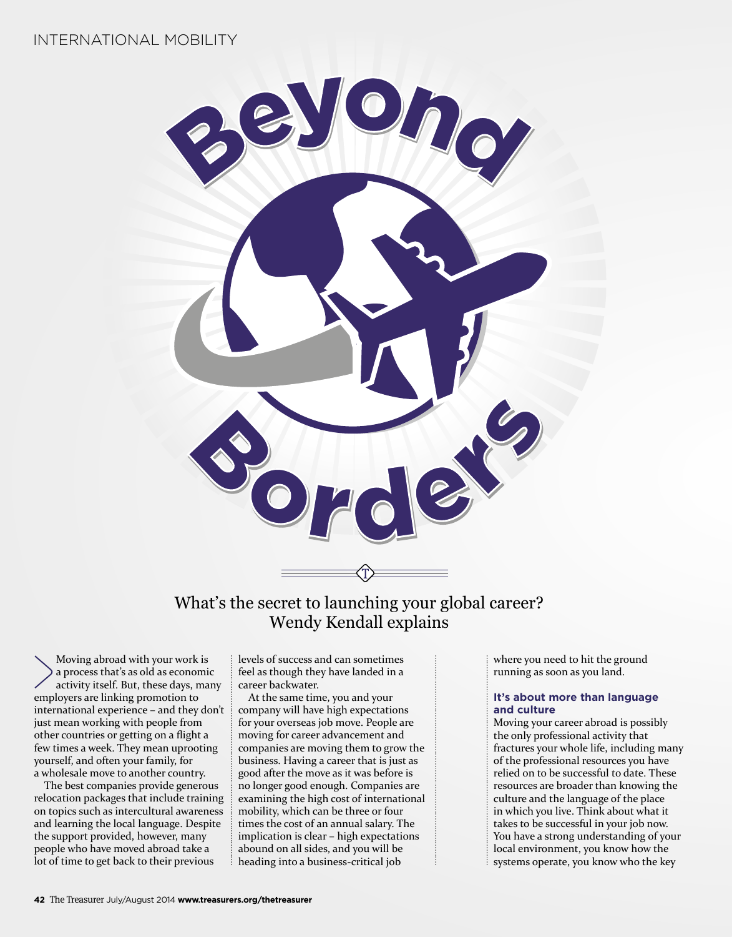

What's the secret to launching your global career? Wendy Kendall explains

Moving abroad with your work is a process that's as old as economic activity itself. But, these days, many employers are linking promotion to international experience – and they don't just mean working with people from other countries or getting on a flight a few times a week. They mean uprooting yourself, and often your family, for a wholesale move to another country.

The best companies provide generous relocation packages that include training on topics such as intercultural awareness and learning the local language. Despite the support provided, however, many people who have moved abroad take a lot of time to get back to their previous

levels of success and can sometimes feel as though they have landed in a career backwater.

At the same time, you and your company will have high expectations for your overseas job move. People are moving for career advancement and companies are moving them to grow the business. Having a career that is just as good after the move as it was before is no longer good enough. Companies are examining the high cost of international mobility, which can be three or four times the cost of an annual salary. The implication is clear – high expectations abound on all sides, and you will be heading into a business-critical job

where you need to hit the ground running as soon as you land.

## **It's about more than language and culture**

Moving your career abroad is possibly the only professional activity that fractures your whole life, including many of the professional resources you have relied on to be successful to date. These resources are broader than knowing the culture and the language of the place in which you live. Think about what it takes to be successful in your job now. You have a strong understanding of your local environment, you know how the systems operate, you know who the key